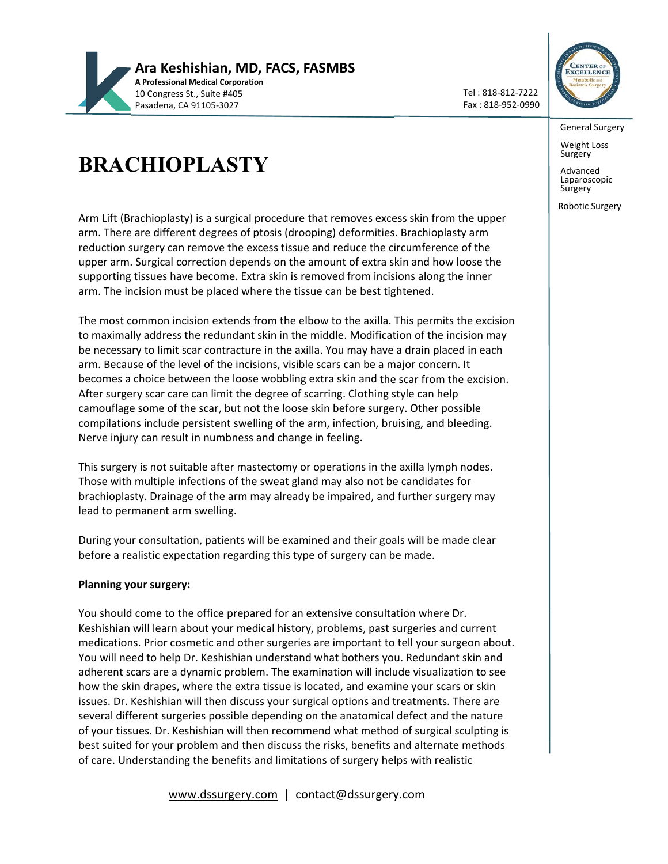

Tel : 818‐812‐7222 Fax : 818‐952‐0990



General Surgery

Weight Loss Surgery

Advanced Laparoscopic Surgery

Robotic Surgery

## **BRACHIOPLASTY**

Arm Lift (Brachioplasty) is a surgical procedure that removes excess skin from the upper arm. There are different degrees of ptosis (drooping) deformities. Brachioplasty arm reduction surgery can remove the excess tissue and reduce the circumference of the upper arm. Surgical correction depends on the amount of extra skin and how loose the supporting tissues have become. Extra skin is removed from incisions along the inner arm. The incision must be placed where the tissue can be best tightened.

The most common incision extends from the elbow to the axilla. This permits the excision to maximally address the redundant skin in the middle. Modification of the incision may be necessary to limit scar contracture in the axilla. You may have a drain placed in each arm. Because of the level of the incisions, visible scars can be a major concern. It becomes a choice between the loose wobbling extra skin and the scar from the excision. After surgery scar care can limit the degree of scarring. Clothing style can help camouflage some of the scar, but not the loose skin before surgery. Other possible compilations include persistent swelling of the arm, infection, bruising, and bleeding. Nerve injury can result in numbness and change in feeling.

This surgery is not suitable after mastectomy or operations in the axilla lymph nodes. Those with multiple infections of the sweat gland may also not be candidates for brachioplasty. Drainage of the arm may already be impaired, and further surgery may lead to permanent arm swelling.

During your consultation, patients will be examined and their goals will be made clear before a realistic expectation regarding this type of surgery can be made.

## **Planning your surgery:**

You should come to the office prepared for an extensive consultation where Dr. Keshishian will learn about your medical history, problems, past surgeries and current medications. Prior cosmetic and other surgeries are important to tell your surgeon about. You will need to help Dr. Keshishian understand what bothers you. Redundant skin and adherent scars are a dynamic problem. The examination will include visualization to see how the skin drapes, where the extra tissue is located, and examine your scars or skin issues. Dr. Keshishian will then discuss your surgical options and treatments. There are several different surgeries possible depending on the anatomical defect and the nature of your tissues. Dr. Keshishian will then recommend what method of surgical sculpting is best suited for your problem and then discuss the risks, benefits and alternate methods of care. Understanding the benefits and limitations of surgery helps with realistic

www.dssurgery.com | contact@dssurgery.com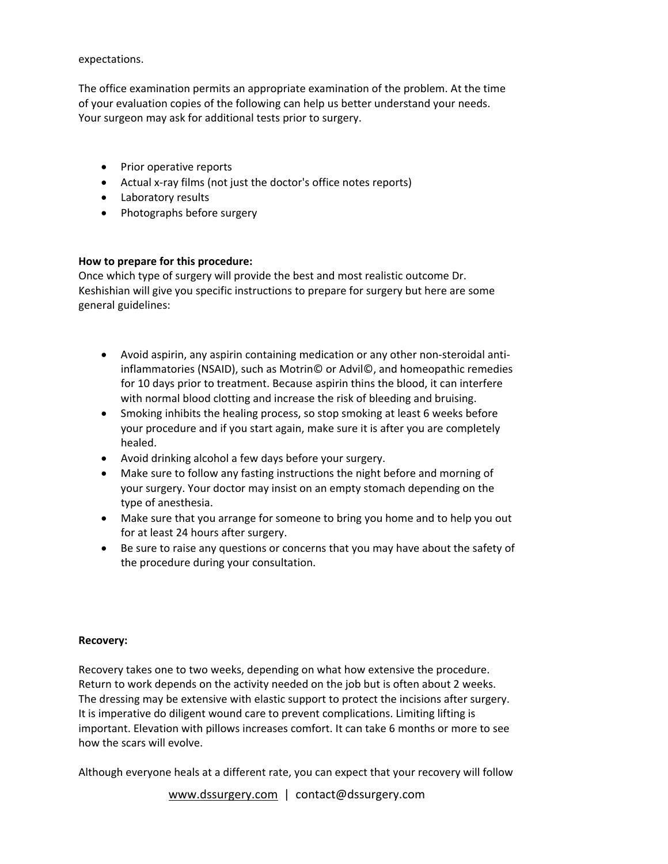expectations.

The office examination permits an appropriate examination of the problem. At the time of your evaluation copies of the following can help us better understand your needs. Your surgeon may ask for additional tests prior to surgery.

- Prior operative reports
- Actual x-ray films (not just the doctor's office notes reports)
- Laboratory results
- Photographs before surgery

## **How to prepare for this procedure:**

Once which type of surgery will provide the best and most realistic outcome Dr. Keshishian will give you specific instructions to prepare for surgery but here are some general guidelines:

- Avoid aspirin, any aspirin containing medication or any other non‐steroidal anti‐ inflammatories (NSAID), such as Motrin© or Advil©, and homeopathic remedies for 10 days prior to treatment. Because aspirin thins the blood, it can interfere with normal blood clotting and increase the risk of bleeding and bruising.
- Smoking inhibits the healing process, so stop smoking at least 6 weeks before your procedure and if you start again, make sure it is after you are completely healed.
- Avoid drinking alcohol a few days before your surgery.
- Make sure to follow any fasting instructions the night before and morning of your surgery. Your doctor may insist on an empty stomach depending on the type of anesthesia.
- Make sure that you arrange for someone to bring you home and to help you out for at least 24 hours after surgery.
- Be sure to raise any questions or concerns that you may have about the safety of the procedure during your consultation.

## **Recovery:**

Recovery takes one to two weeks, depending on what how extensive the procedure. Return to work depends on the activity needed on the job but is often about 2 weeks. The dressing may be extensive with elastic support to protect the incisions after surgery. It is imperative do diligent wound care to prevent complications. Limiting lifting is important. Elevation with pillows increases comfort. It can take 6 months or more to see how the scars will evolve.

Although everyone heals at a different rate, you can expect that your recovery will follow

www.dssurgery.com | contact@dssurgery.com